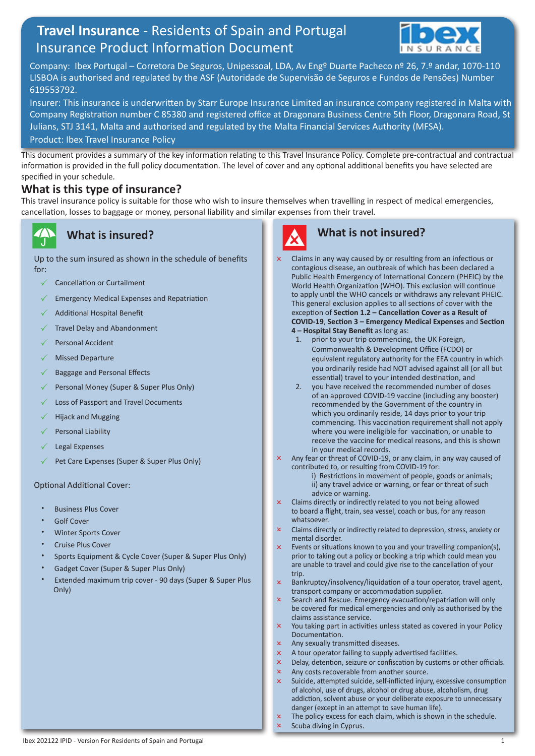# **Travel Insurance** - Residents of Spain and Portugal Insurance Product Information Document



Company: Ibex Portugal – Corretora De Seguros, Unipessoal, LDA, Av Engº Duarte Pacheco nº 26, 7.º andar, 1070-110 LISBOA is authorised and regulated by the ASF (Autoridade de Supervisão de Seguros e Fundos de Pensões) Number 619553792.

Insurer: This insurance is underwritten by Starr Europe Insurance Limited an insurance company registered in Malta with Company Registration number C 85380 and registered office at Dragonara Business Centre 5th Floor, Dragonara Road, St Julians, STJ 3141, Malta and authorised and regulated by the Malta Financial Services Authority (MFSA). Product: Ibex Travel Insurance Policy

This document provides a summary of the key information relating to this Travel Insurance Policy. Complete pre-contractual and contractual information is provided in the full policy documentation. The level of cover and any optional additional benefits you have selected are specified in your schedule.

#### **What is this type of insurance?**

This travel insurance policy is suitable for those who wish to insure themselves when travelling in respect of medical emergencies, cancellation, losses to baggage or money, personal liability and similar expenses from their travel.

### **What is insured?**

Up to the sum insured as shown in the schedule of benefits for:

- Cancellation or Curtailment
- Emergency Medical Expenses and Repatriation
- Additional Hospital Benefit
- Travel Delay and Abandonment
- Personal Accident
- Missed Departure
- Baggage and Personal Effects
- Personal Money (Super & Super Plus Only)
- Loss of Passport and Travel Documents
- Hijack and Mugging
- Personal Liability
- Legal Expenses
- Pet Care Expenses (Super & Super Plus Only)

#### Optional Additional Cover:

- Business Plus Cover
- Golf Cover
- Winter Sports Cover
- Cruise Plus Cover
- Sports Equipment & Cycle Cover (Super & Super Plus Only)
- Gadget Cover (Super & Super Plus Only)
- Extended maximum trip cover 90 days (Super & Super Plus Only)



## **What is not insured?**

- Claims in any way caused by or resulting from an infectious or contagious disease, an outbreak of which has been declared a Public Health Emergency of International Concern (PHEIC) by the World Health Organization (WHO). This exclusion will continue to apply until the WHO cancels or withdraws any relevant PHEIC. This general exclusion applies to all sections of cover with the exception of **Section 1.2 – Cancellation Cover as a Result of COVID-19**, **Section 3 – Emergency Medical Expenses** and **Section 4 – Hospital Stay Benefit** as long as:
	- 1. prior to your trip commencing, the UK Foreign, Commonwealth & Development Office (FCDO) or equivalent regulatory authority for the EEA country in which you ordinarily reside had NOT advised against all (or all but essential) travel to your intended destination, and
	- 2. you have received the recommended number of doses of an approved COVID-19 vaccine (including any booster) recommended by the Government of the country in which you ordinarily reside, 14 days prior to your trip commencing. This vaccination requirement shall not apply where you were ineligible for vaccination, or unable to receive the vaccine for medical reasons, and this is shown in your medical records.
- Any fear or threat of COVID-19, or any claim, in any way caused of contributed to, or resulting from COVID-19 for:
	- i) Restrictions in movement of people, goods or animals; ii) any travel advice or warning, or fear or threat of such advice or warning.
- $\times$  Claims directly or indirectly related to you not being allowed to board a flight, train, sea vessel, coach or bus, for any reason whatsoever.
- Claims directly or indirectly related to depression, stress, anxiety or mental disorder.
- Events or situations known to you and your travelling companion(s), prior to taking out a policy or booking a trip which could mean you are unable to travel and could give rise to the cancellation of your trip.
- Bankruptcy/insolvency/liquidation of a tour operator, travel agent, transport company or accommodation supplier.
- Search and Rescue. Emergency evacuation/repatriation will only be covered for medical emergencies and only as authorised by the claims assistance service.
- x You taking part in activities unless stated as covered in your Policy Documentation.
- Any sexually transmitted diseases.
- $\times$  A tour operator failing to supply advertised facilities.
- x Delay, detention, seizure or confiscation by customs or other officials.
- Any costs recoverable from another source.
- $\times$  Suicide, attempted suicide, self-inflicted injury, excessive consumption of alcohol, use of drugs, alcohol or drug abuse, alcoholism, drug addiction, solvent abuse or your deliberate exposure to unnecessary danger (except in an attempt to save human life).
- $\times$  The policy excess for each claim, which is shown in the schedule.
- Scuba diving in Cyprus.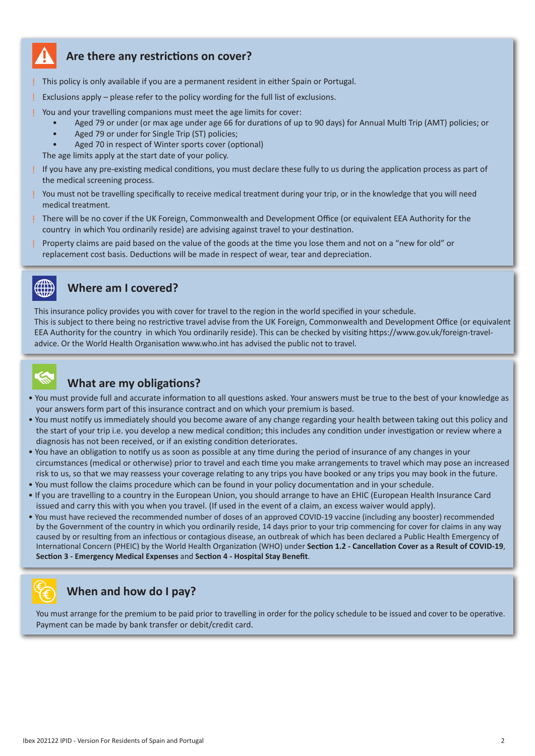

#### **Are there any restrictions on cover?**

! This policy is only available if you are a permanent resident in either Spain or Portugal.

Exclusions apply – please refer to the policy wording for the full list of exclusions.

You and your travelling companions must meet the age limits for cover:

- Aged 79 or under (or max age under age 66 for durations of up to 90 days) for Annual Multi Trip (AMT) policies; or
- Aged 79 or under for Single Trip (ST) policies;
- Aged 70 in respect of Winter sports cover (optional)
- The age limits apply at the start date of your policy.
- ! If you have any pre-existing medical conditions, you must declare these fully to us during the application process as part of the medical screening process.
- ! You must not be travelling specifically to receive medical treatment during your trip, or in the knowledge that you will need medical treatment.
- ! There will be no cover if the UK Foreign, Commonwealth and Development Office (or equivalent EEA Authority for the country in which You ordinarily reside) are advising against travel to your destination.
- ! Property claims are paid based on the value of the goods at the time you lose them and not on a "new for old" or replacement cost basis. Deductions will be made in respect of wear, tear and depreciation.



#### **Where am I covered?**

This insurance policy provides you with cover for travel to the region in the world specified in your schedule. This is subject to there being no restrictive travel advise from the UK Foreign, Commonwealth and Development Office (or equivalent EEA Authority for the country in which You ordinarily reside). This can be checked by visiting https://www.gov.uk/foreign-traveladvice. Or the World Health Organisation www.who.int has advised the public not to travel.



# **What are my obligations?**

- You must provide full and accurate information to all questions asked. Your answers must be true to the best of your knowledge as your answers form part of this insurance contract and on which your premium is based.
- You must notify us immediately should you become aware of any change regarding your health between taking out this policy and the start of your trip i.e. you develop a new medical condition; this includes any condition under investigation or review where a diagnosis has not been received, or if an existing condition deteriorates.
- You have an obligation to notify us as soon as possible at any time during the period of insurance of any changes in your circumstances (medical or otherwise) prior to travel and each time you make arrangements to travel which may pose an increased risk to us, so that we may reassess your coverage relating to any trips you have booked or any trips you may book in the future.
- You must follow the claims procedure which can be found in your policy documentation and in your schedule.
- If you are travelling to a country in the European Union, you should arrange to have an EHIC (European Health Insurance Card issued and carry this with you when you travel. (If used in the event of a claim, an excess waiver would apply).
- You must have recieved the recommended number of doses of an approved COVID-19 vaccine (including any booster) recommended by the Government of the country in which you ordinarily reside, 14 days prior to your trip commencing for cover for claims in any way caused by or resulting from an infectious or contagious disease, an outbreak of which has been declared a Public Health Emergency of International Concern (PHEIC) by the World Health Organization (WHO) under **Section 1.2 - Cancellation Cover as a Result of COVID-19**, **Section 3 - Emergency Medical Expenses** and **Section 4 - Hospital Stay Benefit**.



### **When and how do I pay?**

You must arrange for the premium to be paid prior to travelling in order for the policy schedule to be issued and cover to be operative. Payment can be made by bank transfer or debit/credit card.